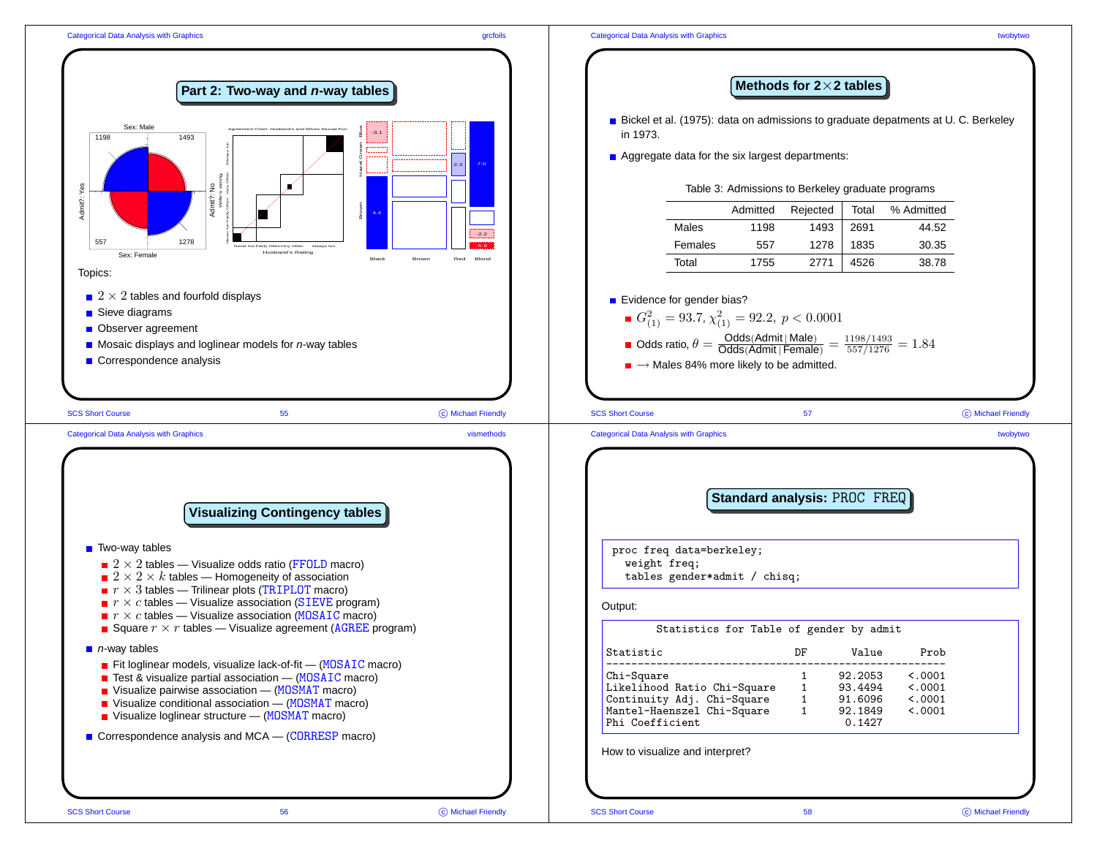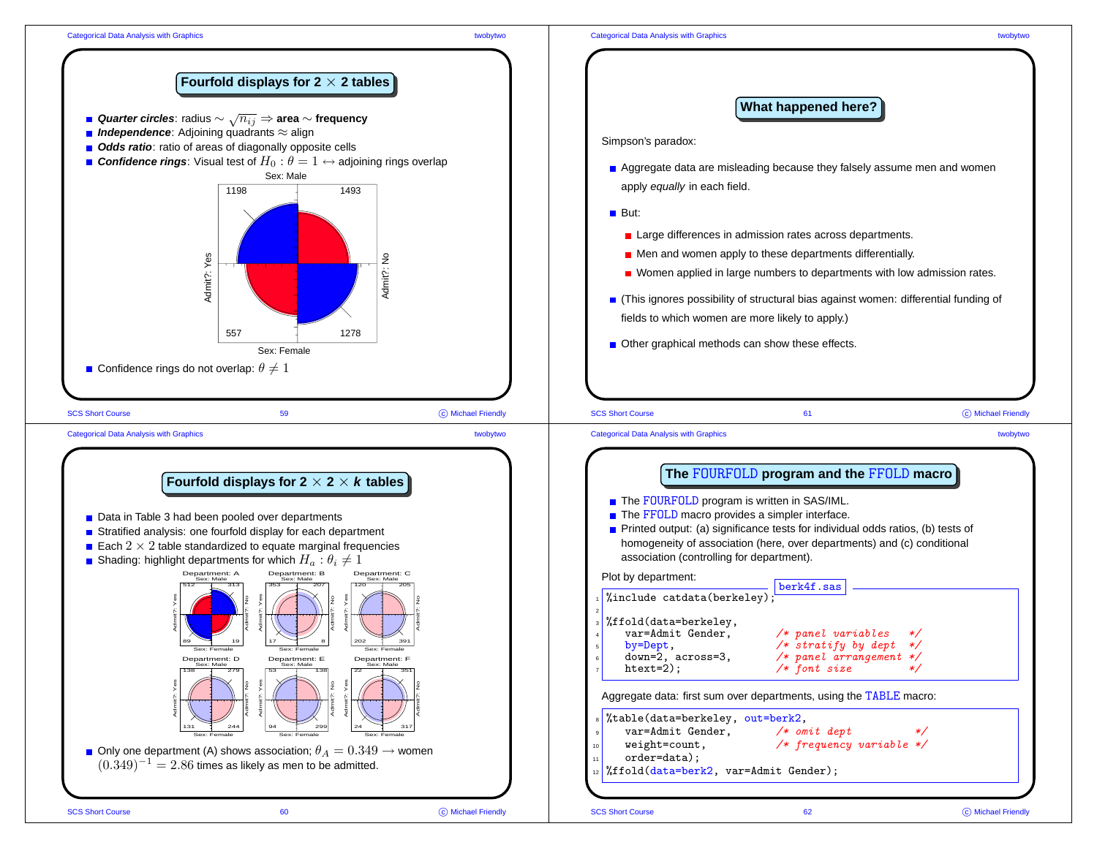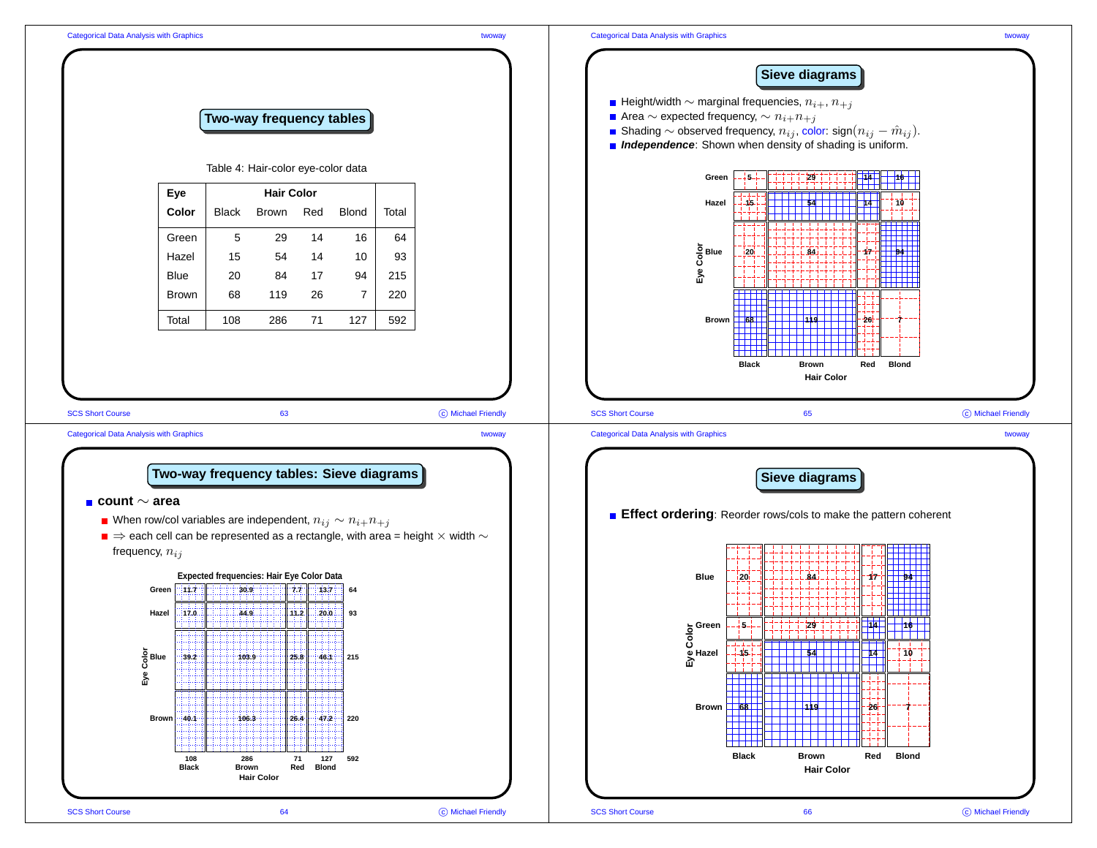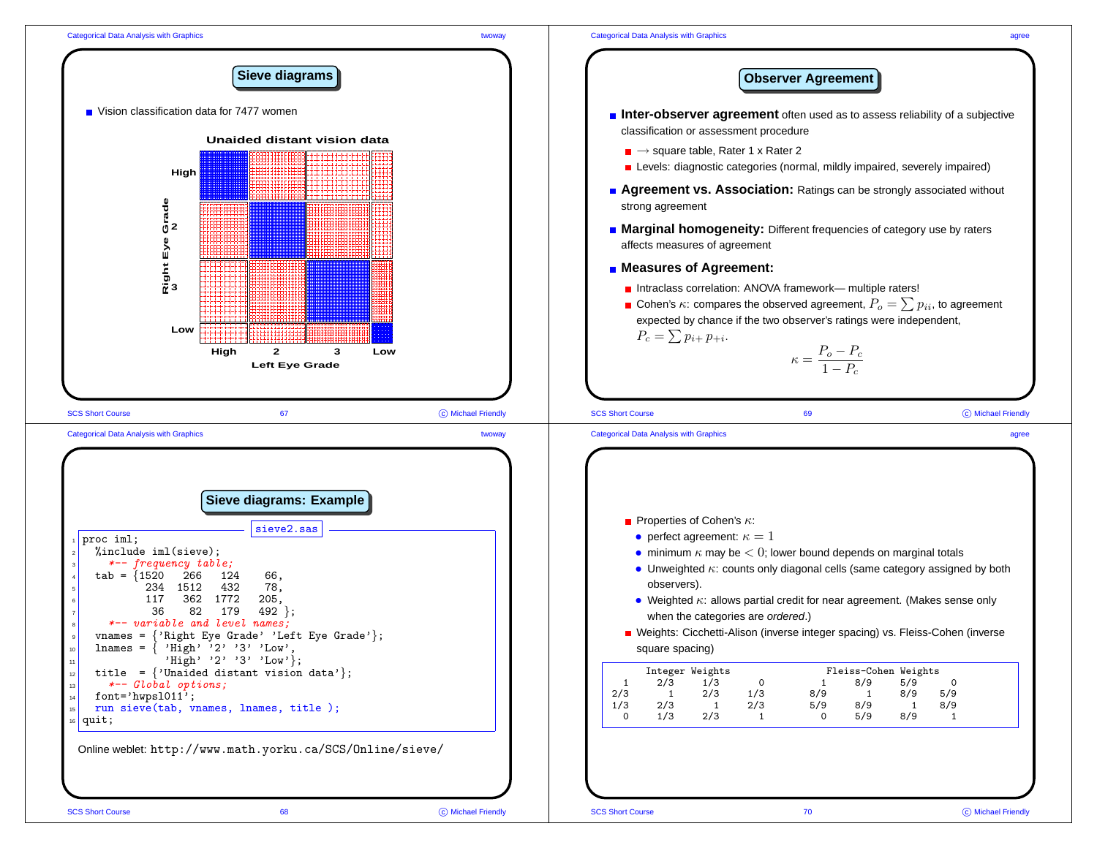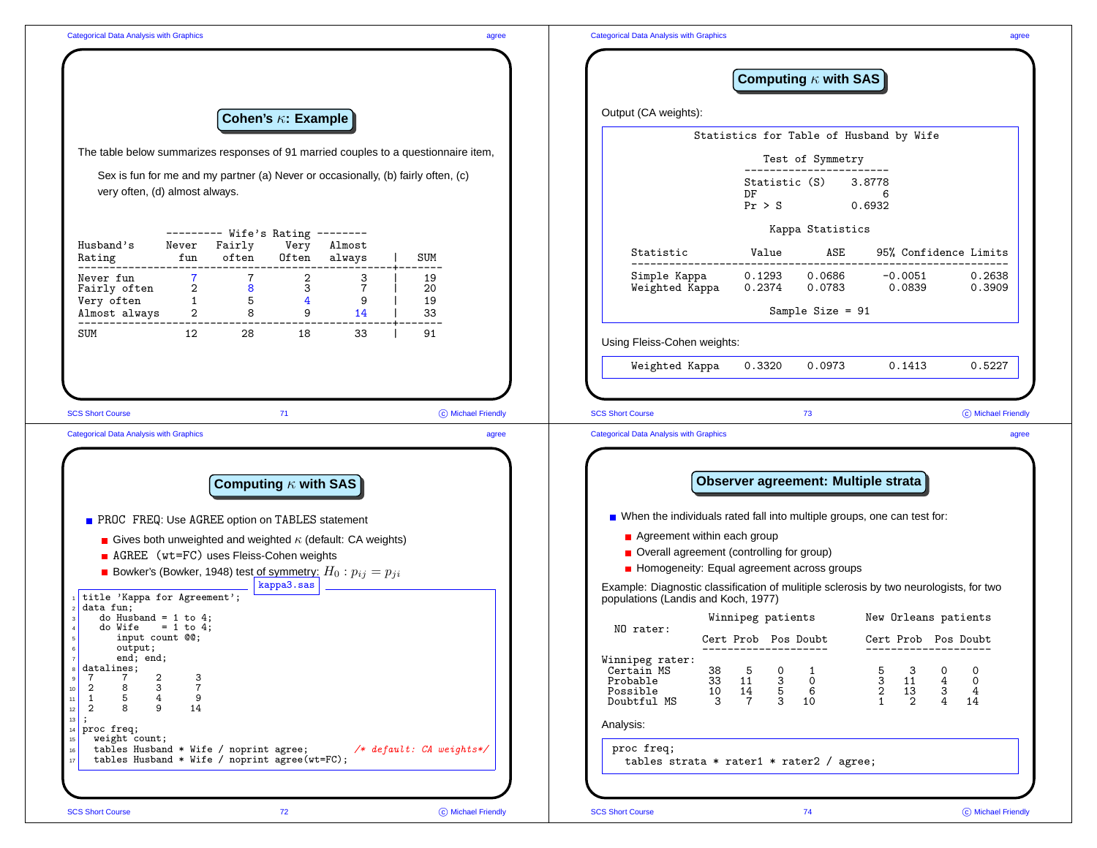|                                                                                                                                                                                       |                                  |                             |                      |                | Computing $\kappa$ with SAS                                                                                                                                                                                                                                                                                                                                                         |
|---------------------------------------------------------------------------------------------------------------------------------------------------------------------------------------|----------------------------------|-----------------------------|----------------------|----------------|-------------------------------------------------------------------------------------------------------------------------------------------------------------------------------------------------------------------------------------------------------------------------------------------------------------------------------------------------------------------------------------|
|                                                                                                                                                                                       |                                  | Cohen's $\kappa$ : Example  |                      |                | Output (CA weights):                                                                                                                                                                                                                                                                                                                                                                |
|                                                                                                                                                                                       |                                  |                             |                      |                | Statistics for Table of Husband by Wife                                                                                                                                                                                                                                                                                                                                             |
| The table below summarizes responses of 91 married couples to a questionnaire item,                                                                                                   |                                  |                             |                      |                | Test of Symmetry                                                                                                                                                                                                                                                                                                                                                                    |
| Sex is fun for me and my partner (a) Never or occasionally, (b) fairly often, (c)<br>very often, (d) almost always.                                                                   |                                  |                             |                      |                | Statistic (S)<br>3.8778<br>DF<br>6<br>Pr > S<br>0.6932                                                                                                                                                                                                                                                                                                                              |
|                                                                                                                                                                                       | --------- Wife's Rating -------- |                             |                      |                | Kappa Statistics                                                                                                                                                                                                                                                                                                                                                                    |
| Husband's<br>fun<br>Rating                                                                                                                                                            | Never Fairly<br>often            | Very<br>Often               | Almost<br>always     | SUM            | Value<br>ASE<br>95% Confidence Limits<br>Statistic                                                                                                                                                                                                                                                                                                                                  |
| Never fun<br>Fairly often<br>Very often<br>1<br>Almost always<br>2                                                                                                                    | 8<br>5 <sub>5</sub>              | $\overline{2}$<br>3<br>4    | 3<br>9               | 19<br>20<br>19 | 0.1293<br>0.0686<br>Simple Kappa<br>$-0.0051$<br>0.2638<br>Weighted Kappa<br>0.0839<br>0.0783<br>0.3909<br>0.2374                                                                                                                                                                                                                                                                   |
|                                                                                                                                                                                       |                                  | $8 - 8$                     | $9 \quad \Box$<br>14 | 33             | Sample Size = 91                                                                                                                                                                                                                                                                                                                                                                    |
| 12<br>SUM                                                                                                                                                                             | 28                               | 18                          | 33                   | 91             | Using Fleiss-Cohen weights:                                                                                                                                                                                                                                                                                                                                                         |
|                                                                                                                                                                                       |                                  |                             |                      |                | Weighted Kappa<br>0.3320<br>0.0973<br>0.5227<br>0.1413                                                                                                                                                                                                                                                                                                                              |
|                                                                                                                                                                                       |                                  | 71                          |                      |                | C Michael Friendly<br><b>SCS Short Course</b><br>C Michael Friendly<br>73<br><b>Categorical Data Analysis with Graphics</b><br>agree                                                                                                                                                                                                                                                |
|                                                                                                                                                                                       |                                  | Computing $\kappa$ with SAS |                      |                | Observer agreement: Multiple strata                                                                                                                                                                                                                                                                                                                                                 |
| <b>SCS Short Course</b><br><b>Categorical Data Analysis with Graphics</b>                                                                                                             |                                  |                             |                      |                | ■ When the individuals rated fall into multiple groups, one can test for:                                                                                                                                                                                                                                                                                                           |
| PROC FREQ: Use AGREE option on TABLES statement                                                                                                                                       |                                  |                             |                      |                | Agreement within each group                                                                                                                                                                                                                                                                                                                                                         |
| Gives both unweighted and weighted $\kappa$ (default: CA weights)<br>AGREE (wt=FC) uses Fleiss-Cohen weights                                                                          |                                  |                             |                      |                | Overall agreement (controlling for group)                                                                                                                                                                                                                                                                                                                                           |
| <b>Bowker's (Bowker, 1948) test of symmetry:</b> $H_0: p_{ij} = p_{ji}$                                                                                                               |                                  | kappa3.sas                  |                      |                | Homogeneity: Equal agreement across groups                                                                                                                                                                                                                                                                                                                                          |
|                                                                                                                                                                                       |                                  |                             |                      |                | Example: Diagnostic classification of mulitiple sclerosis by two neurologists, for two<br>populations (Landis and Koch, 1977)                                                                                                                                                                                                                                                       |
| do Husband = $1$ to $4$ ;<br>$= 1 to 4;$<br>do Wife                                                                                                                                   |                                  |                             |                      |                | Winnipeg patients<br>New Orleans patients<br>NO rater:                                                                                                                                                                                                                                                                                                                              |
| input count @@;<br>output;                                                                                                                                                            |                                  |                             |                      |                | Cert Prob Pos Doubt<br>Cert Prob Pos Doubt<br>--------------------<br>--------------------                                                                                                                                                                                                                                                                                          |
| i title 'Kappa for Agreement';<br>$2$ data fun;<br>end; end;<br>datalines;<br>$\overline{7}$<br>$\mathbf{7}$<br>2<br>3<br>$\overline{7}$<br>3<br>2<br>8<br>9<br>5<br>4<br>1<br>9<br>8 |                                  |                             |                      |                | Winnipeg rater:<br>Certain MS<br>38 5<br>$\circ$<br>5<br>$\mathbf{3}$<br>0<br>$\mathbf 0$<br>1<br>$\begin{bmatrix} 3 & 11 \\ 2 & 13 \\ 1 & 2 \end{bmatrix}$<br>$\begin{array}{cccc} 33 & 11 & 3 & 0 \\ 10 & 14 & 5 & 6 \\ 3 & 7 & 3 & 10 \end{array}$<br>Probable<br>$\begin{array}{c} 4 \\ 3 \\ 4 \end{array}$<br>$\mathbf{O}$<br>$4\overline{ }$<br>Possible<br>Doubtful MS<br>14 |
| 14<br>2<br>$14$ proc freq;<br>weight count;                                                                                                                                           |                                  |                             |                      |                | Analysis:                                                                                                                                                                                                                                                                                                                                                                           |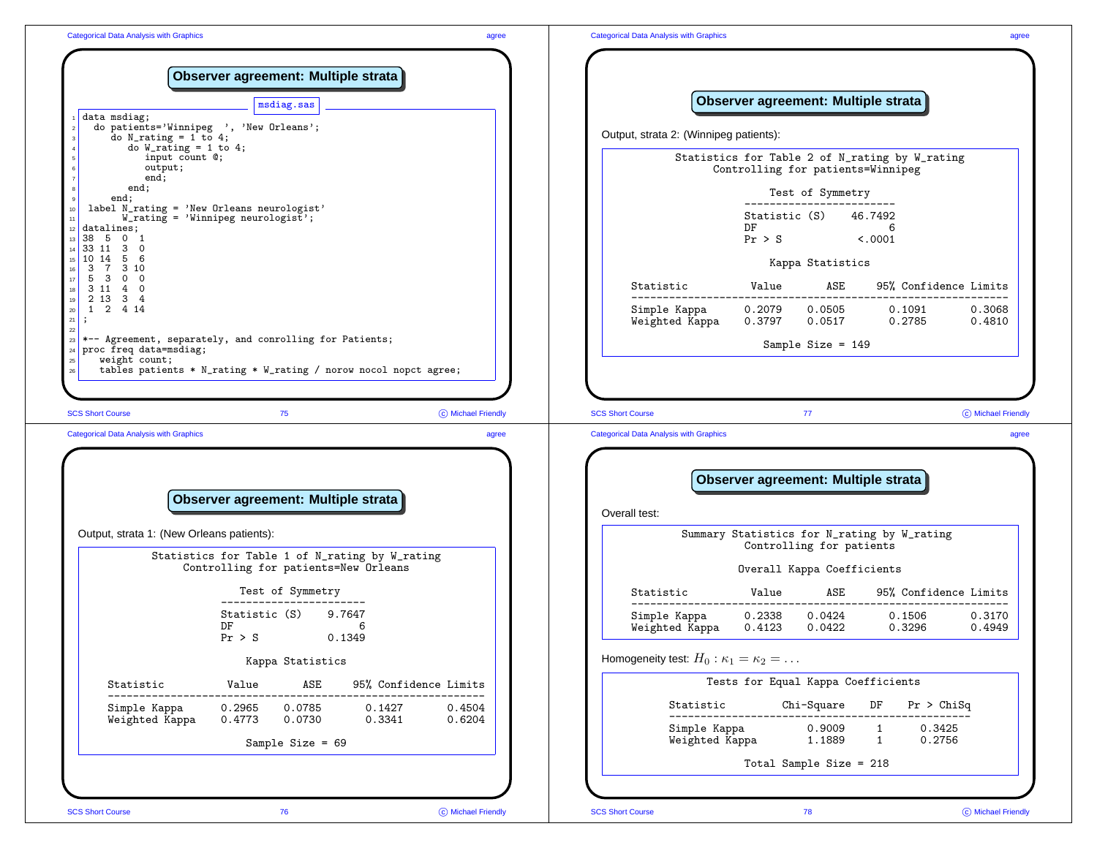|                                                                                                                        | msdiag.sas                                                                                      |                             |                                                                           |                                     |                                                        | Observer agreement: Multiple strata            |                    |
|------------------------------------------------------------------------------------------------------------------------|-------------------------------------------------------------------------------------------------|-----------------------------|---------------------------------------------------------------------------|-------------------------------------|--------------------------------------------------------|------------------------------------------------|--------------------|
| data msdiag;<br>do N_rating = 1 to 4;                                                                                  | do patients='Winnipeg ', 'New Orleans';                                                         |                             | Output, strata 2: (Winnipeg patients):                                    |                                     |                                                        |                                                |                    |
| do W_rating = 1 to 4;<br>input count @;<br>output;                                                                     |                                                                                                 |                             |                                                                           | Controlling for patients=Winnipeg   |                                                        | Statistics for Table 2 of N_rating by W_rating |                    |
| end;<br>end;<br>end;                                                                                                   |                                                                                                 |                             |                                                                           |                                     | Test of Symmetry                                       |                                                |                    |
| datalines;<br>38 5 0 1<br>33 11 3 0                                                                                    | label N_rating = 'New Orleans neurologist'<br>$W_{\text{rating}} = \text{Winnipeg neurologist}$ |                             |                                                                           | DF                                  | Statistic (S) 46.7492<br>$Pr > S$ <.0001               | 6                                              |                    |
| 10 14 5 6<br>3 7 3 10                                                                                                  |                                                                                                 |                             |                                                                           |                                     | Kappa Statistics                                       |                                                |                    |
| 5 3 0 0<br>3 11 4 0<br>2 13 3 4                                                                                        |                                                                                                 |                             | Statistic                                                                 | Value ASE                           |                                                        | 95% Confidence Limits                          |                    |
| 1 2 4 14<br>$\cdot$                                                                                                    |                                                                                                 |                             | Simple Kappa<br>Weighted Kappa                                            | 0.2079<br>0.3797                    | 0.0505<br>0.0517                                       | 0.1091<br>0.2785                               | 0.3068<br>0.4810   |
| $24$ proc freq data=msdiag;                                                                                            | *-- Agreement, separately, and conrolling for Patients;                                         |                             |                                                                           |                                     | Sample Size = $149$                                    |                                                |                    |
| weight count;                                                                                                          | tables patients * N_rating * W_rating / norow nocol nopct agree;<br>75                          | C Michael Friendly<br>agree | <b>SCS Short Course</b><br><b>Categorical Data Analysis with Graphics</b> |                                     | 77                                                     |                                                |                    |
|                                                                                                                        | Observer agreement: Multiple strata                                                             |                             |                                                                           | Observer agreement: Multiple strata |                                                        |                                                | C Michael Friendly |
| <b>SCS Short Course</b><br><b>Categorical Data Analysis with Graphics</b><br>Output, strata 1: (New Orleans patients): |                                                                                                 |                             | Overall test:                                                             |                                     |                                                        | Summary Statistics for N_rating by W_rating    |                    |
|                                                                                                                        | Statistics for Table 1 of N_rating by W_rating<br>Controlling for patients=New Orleans          |                             |                                                                           |                                     | Controlling for patients<br>Overall Kappa Coefficients |                                                |                    |
|                                                                                                                        | Test of Symmetry                                                                                |                             | Statistic                                                                 | Value                               | ASE                                                    | 95% Confidence Limits                          |                    |
|                                                                                                                        | . - - - - - - -<br>Statistic (S) 9.7647<br>DF<br>6<br>Pr > S<br>0.1349                          |                             | Simple Kappa<br>Weighted Kappa                                            | 0.2338<br>0.4123                    | 0.0424<br>0.0422                                       | 0.1506<br>0.3296                               | 0.3170<br>0.4949   |
|                                                                                                                        | Kappa Statistics                                                                                |                             | Homogeneity test: $H_0: \kappa_1 = \kappa_2 = \ldots$                     |                                     |                                                        |                                                |                    |
| Statistic                                                                                                              | ASE<br>95% Confidence Limits<br>Value                                                           |                             |                                                                           | Tests for Equal Kappa Coefficients  |                                                        |                                                |                    |
| Simple Kappa<br>Weighted Kappa                                                                                         | 0.2965<br>0.0785<br>0.1427<br>0.4773<br>0.0730<br>0.3341                                        | 0.4504<br>0.6204            | Statistic<br>Simple Kappa                                                 |                                     | Chi-Square<br>0.9009                                   | DF<br>Pr > Chisq<br>0.3425<br>$\mathbf{1}$     |                    |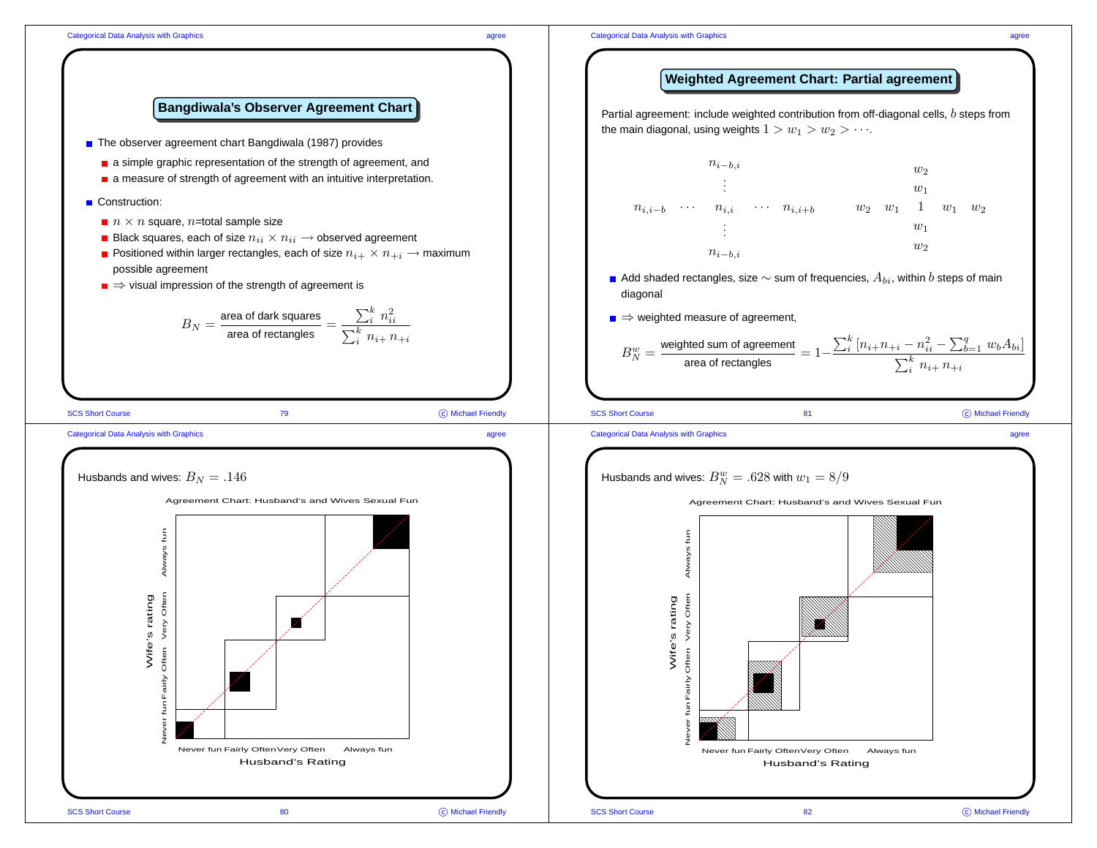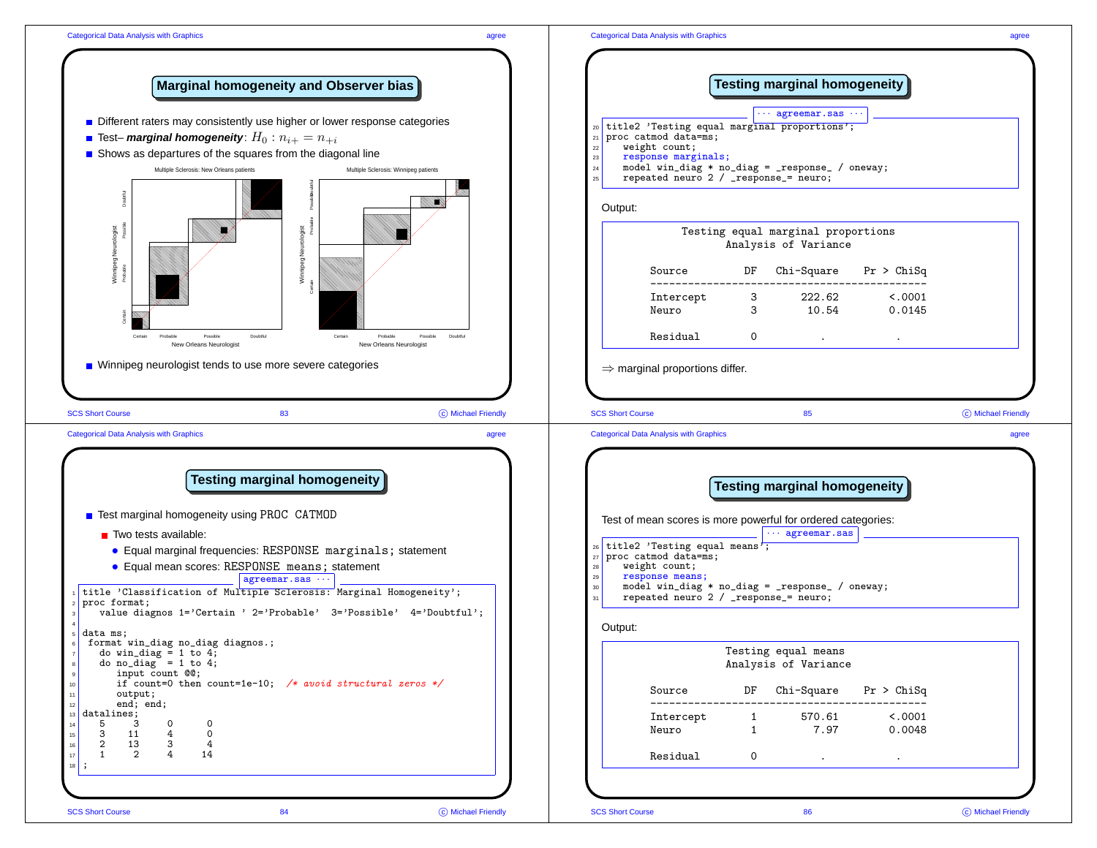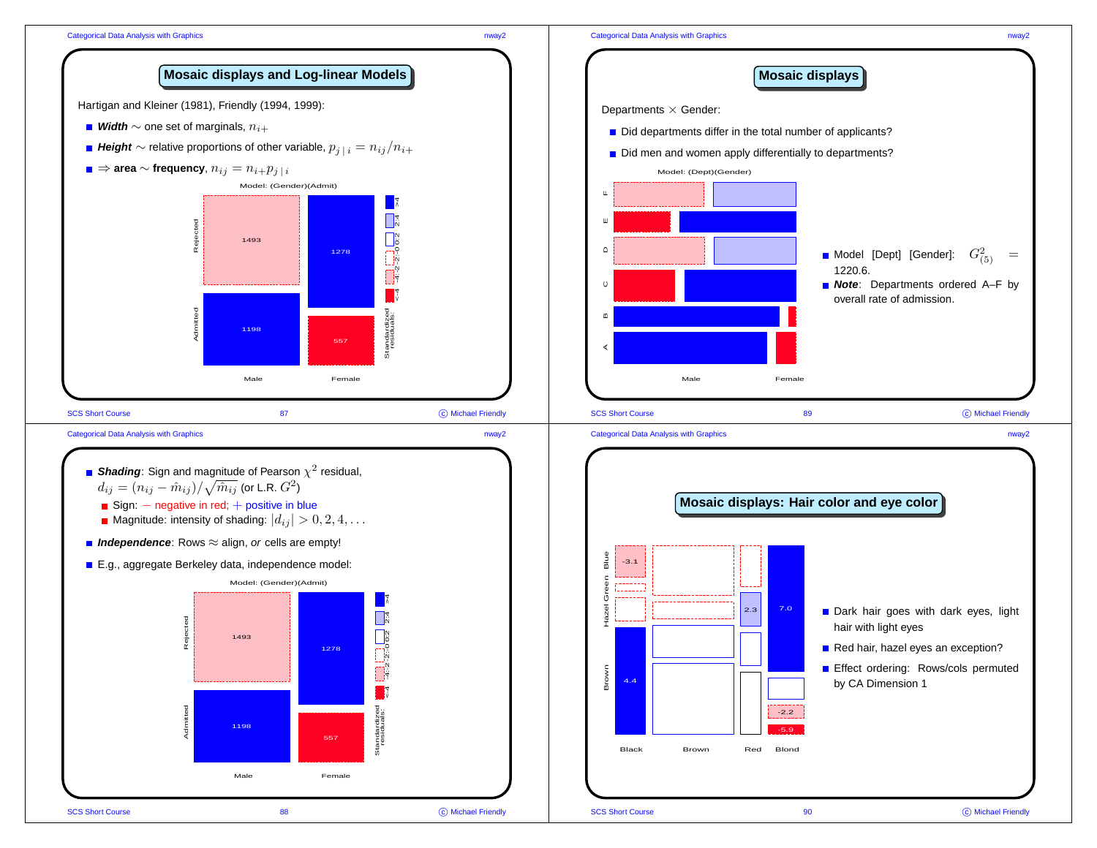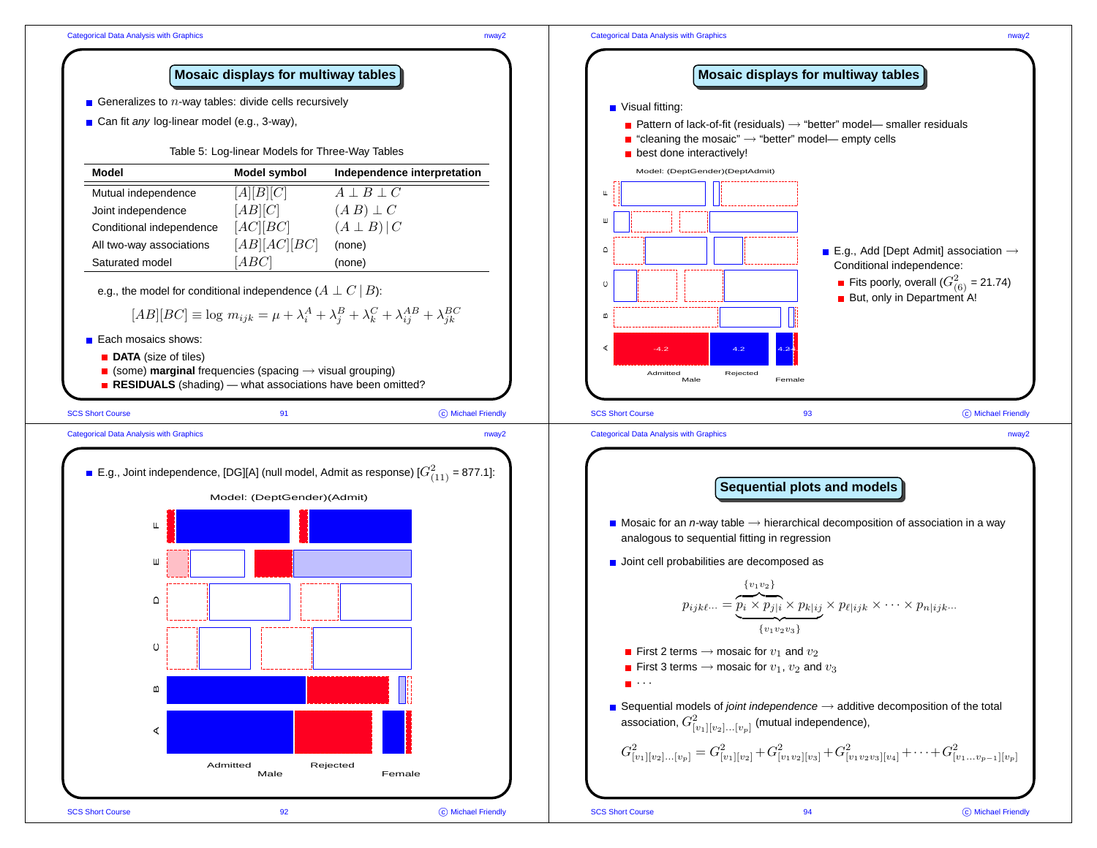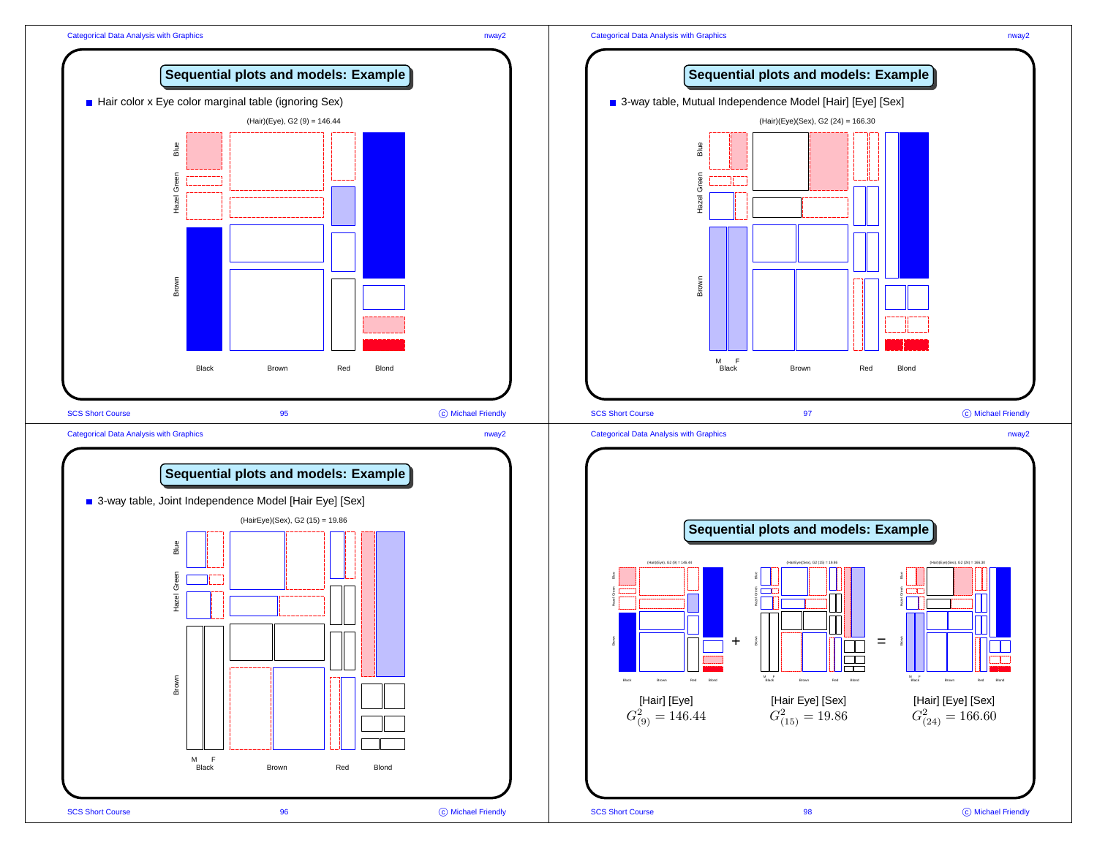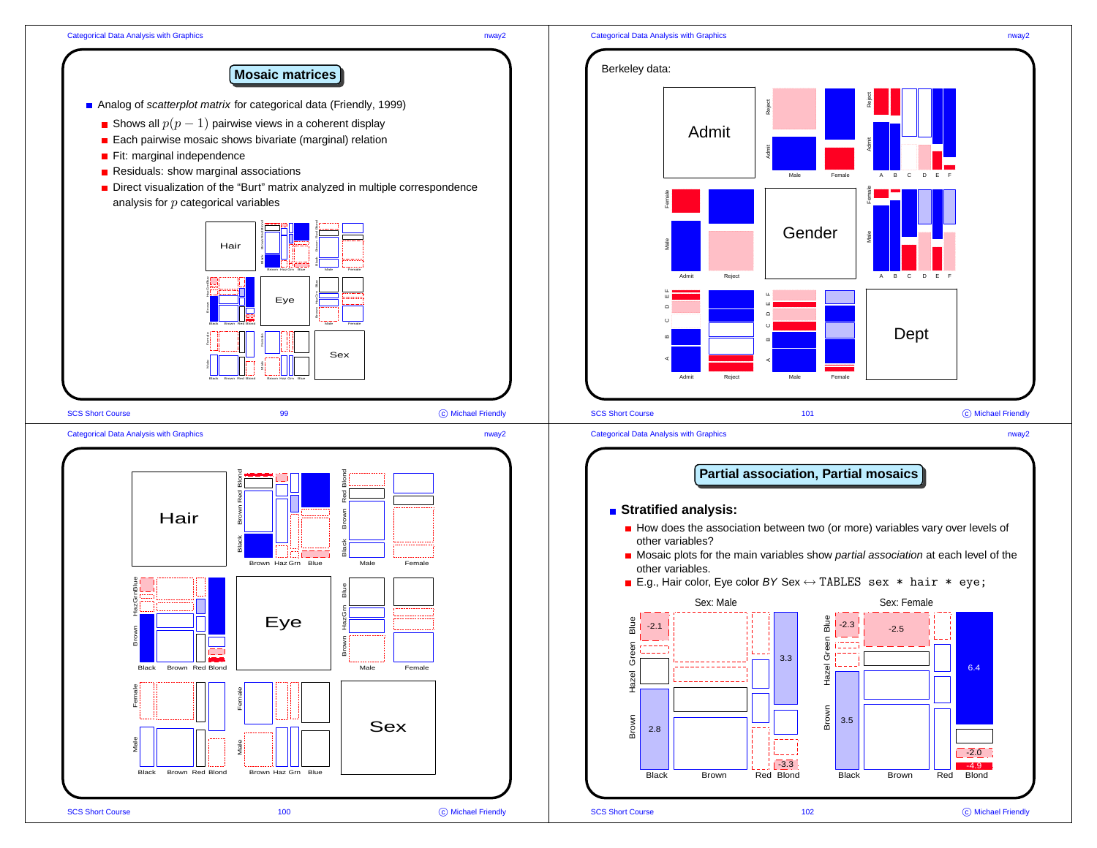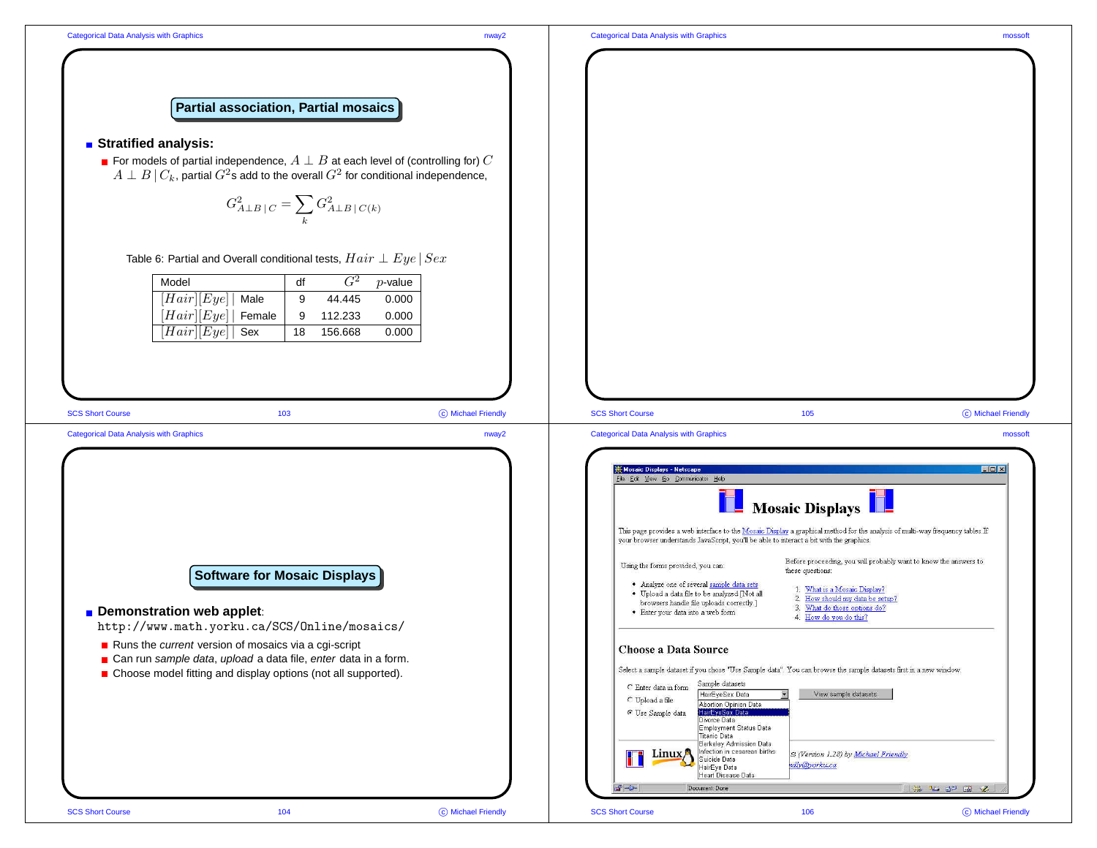

## Categorical Data Analysis with Graphics mossoft

C Michael Friendly

C Michael Friendly

 $\Box$ 



## **Stratified analysis:**

■ For models of partial independence,  $A \perp B$  at each level of (controlling for)  $C$  $A \perp B \mid C_k$ , partial  $G^2$ s add to the overall  $G^2$  for conditional independence,

$$
G_{A\perp B\,\vert\, C}^2 = \sum_k G_{A\perp B\,\vert\, C(k)}^2
$$

Table 6: Partial and Overall conditional tests,  $Hair \perp Eye \mid Sex$ 

| Model                         | df |         | $p$ -value |
|-------------------------------|----|---------|------------|
| $\overline{ Hair } Eye $ Male | 9  | 44.445  | 0.000      |
| $[Hair][Eye]$ Female          | 9  | 112.233 | 0.000      |
| $ Hair [Eye] $ Sex            | 18 | 156.668 | 0.000      |

SCS Short Course 103 C Michael Friendly SCS Short Course 105 Categorical Data Analysis with Graphics nway2 Categorical Data Analysis with Graphics mossoft Mosaic Displays - Netscape Eile Edit View Go Communicator Help Mosaic Displays This page provides a web interface to the Mosaic Display a graphical method for the analysis of multi-way frequency tables. If your browser understands JavaScript, you'll be able to interact a bit with the graphics. Before proceeding, you will probably want to know the answers to Using the forms provided, you can: these questions: **Software for Mosaic Displays** . Analyze one of several sample data sets 1. What is a Mosaic Display? · Upload a data file to be analyzed [Not all 2. How should my data be setup? browsers handle file uploads correctly.] 3. What do those options do? **Demonstration web applet**: · Enter your data into a web form 4. How do you do this? http://www.math.yorku.ca/SCS/Online/mosaics/ ■ Runs the *current* version of mosaics via a cqi-script Choose a Data Source ■ Can run *sample data*, *upload* a data file, *enter* data in a form. Select a sample dataset if you chose "Use Sample data". You can browse the sample datasets first in a new window. Choose model fitting and display options (not all supported). Sample datasets C Enter data in form HairEyeSex Data  $\overline{\mathbf{x}}$ View sample datasets  $\mathbb C$  Upload a file Abortion Opinion Data © Use Sample data HairEveSex Data Divorce Data Employment Status Data Titanic Data Berkeley Admission Data Infection in cesarean births Linux<sub>1</sub> S (Version 1.28) by Michael Friendly Suicide Data ndly@yorku.ca HairEye Data Heart Disease Data Document: Done  $\Rightarrow$   $\frac{1}{2}$   $\Rightarrow$   $\frac{1}{2}$   $\Rightarrow$   $\frac{1}{2}$   $\Rightarrow$   $\frac{1}{2}$   $\Rightarrow$   $\frac{1}{2}$   $\Rightarrow$   $\frac{1}{2}$  $P = D =$ SCS Short Course 104 C Michael Friendly SCS Short Course 106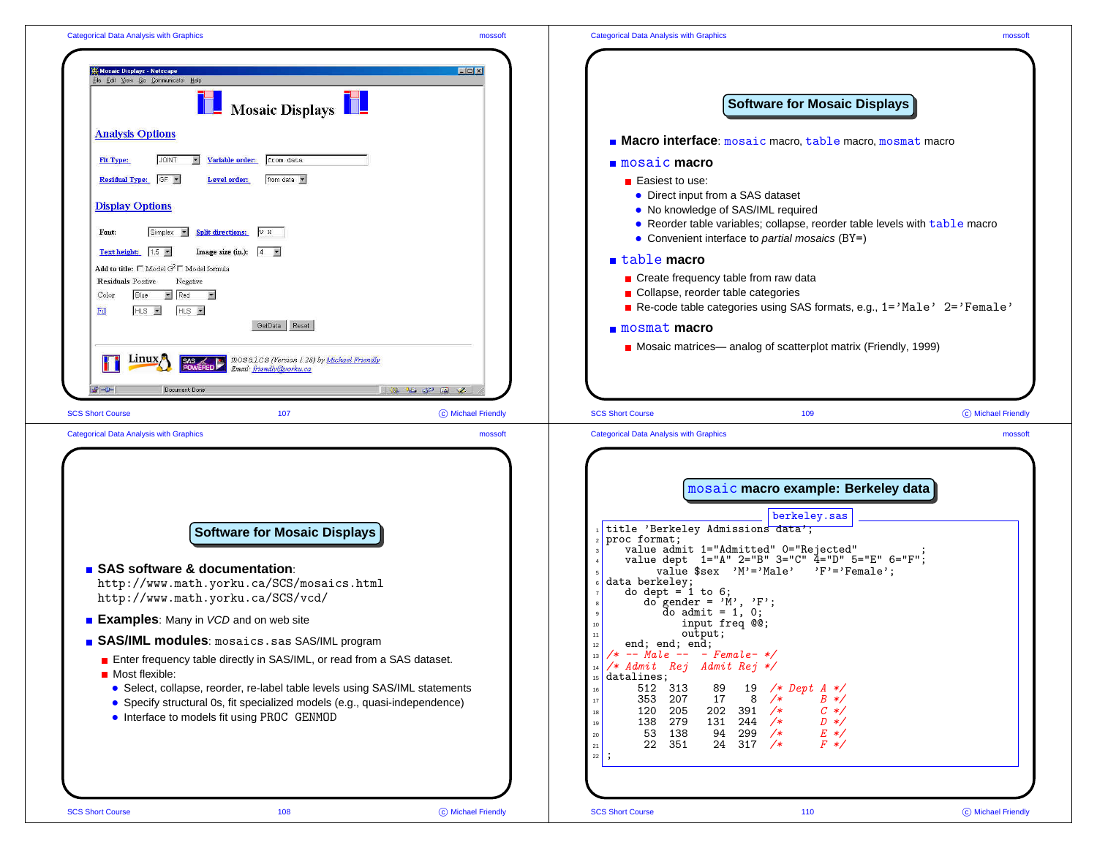| Mosaic Displays - Netscape<br>$\Box$ D x<br>File Edit View Go Communicator Help<br>Mosaic Displays<br><b>Software for Mosaic Displays</b><br><b>Analysis Options</b><br>Macro interface: mosaic macro, table macro, mosmat macro<br>Variable order:<br>from data<br>Fit Type:<br><b>JOINT</b><br>$\overline{\mathbf{z}}$<br>$\blacksquare$ mosaic macro<br>Residual Type: GF v<br>from data<br>Level order:<br>■ Easiest to use:<br>• Direct input from a SAS dataset<br><b>Display Options</b><br>• No knowledge of SAS/IML required<br>• Reorder table variables; collapse, reorder table levels with table macro<br>Split directions: V H<br>Simplex<br>Font:<br>• Convenient interface to partial mosaics $(BY=)$<br>Text height: $1.5$<br>Image size (in.): $ 4 - \tau $<br>$\blacksquare$ table macro<br>Add to title: $\Box$ Model $G^2 \Box$ Model formula<br>Create frequency table from raw data<br>Residuals Positive<br>Negative<br>Collapse, reorder table categories<br>$R$ ed $\overline{z}$<br>Blue<br>Color<br>Re-code table categories using SAS formats, e.g., 1='Male' 2='Female'<br>$HLS =$<br>$HLS =$<br>$\overline{F11}$<br>GetData Reset<br>mosmat macro<br>Mosaic matrices— analog of scatterplot matrix (Friendly, 1999)<br><b>SAS</b> MOSAICS (Version 1.28) by <u>Michael Friendly</u><br><b>POWERED</b> <i>Email: friendly@yorkst.co</i><br>Linux <sub>1</sub><br>Email: friendly@vorku.ca<br>三洋 化 心包 国<br>$\rightarrow -$<br>Document: Done<br>z<br>107<br>C Michael Friendly<br><b>SCS Short Course</b><br>109<br>C Michael Friendly<br><b>SCS Short Course</b><br><b>Categorical Data Analysis with Graphics</b><br><b>Categorical Data Analysis with Graphics</b><br>mossoft<br>mossoft<br>mosaic macro example: Berkeley data<br>berkeley.sas<br>title 'Berkeley Admissions data';<br>Software for Mosaic Displays<br>proc format;<br>value admit 1="Admitted" 0="Rejected"<br>value dept $1 = "A" 2 = "B" 3 = "C" 4 = "D" 5 = "E" 6 = "F";$<br>■ SAS software & documentation:<br>value $sex$ 'M'='Male' 'F'='Female';<br>data berkeley;<br>http://www.math.yorku.ca/SCS/mosaics.html<br>do dept = $1$ to $6$ ;<br>http://www.math.yorku.ca/SCS/vcd/<br>do gender = $'M', 'F';$<br>do admit = $1, 0;$<br><b>Examples:</b> Many in VCD and on web site<br>input freq @@;<br>output;<br><b>B SAS/IML modules:</b> mosaics.sas SAS/IML program<br>end; end; end;<br>$/* -- Male -- - Female-*/$<br>13<br>Enter frequency table directly in SAS/IML, or read from a SAS dataset.<br>/* Admit Rej Admit Rej */<br>14<br>Most flexible:<br>datalines;<br>15<br>512 313<br>• Select, collapse, reorder, re-label table levels using SAS/IML statements<br>19 /* Dept $A *$<br>89<br>16<br>353 207<br>17<br>$8 / *$<br>$B \neq$<br>• Specify structural 0s, fit specialized models (e.g., quasi-independence)<br>120 205<br>202<br>391 /*<br>$C \ast/$<br>18<br>• Interface to models fit using PROC GENMOD<br>138 279<br>$244 / *$<br>131<br>$D \neq$<br>19<br>53 138<br>94<br>$299 / *$<br>$E \neq$<br>20<br>$F \ast /$<br>22 351<br>$24 \quad 317 \quad /*$<br>$21\,$ | <b>Categorical Data Analysis with Graphics</b> | mossoft | <b>Categorical Data Analysis with Graphics</b> | mossoft |
|-----------------------------------------------------------------------------------------------------------------------------------------------------------------------------------------------------------------------------------------------------------------------------------------------------------------------------------------------------------------------------------------------------------------------------------------------------------------------------------------------------------------------------------------------------------------------------------------------------------------------------------------------------------------------------------------------------------------------------------------------------------------------------------------------------------------------------------------------------------------------------------------------------------------------------------------------------------------------------------------------------------------------------------------------------------------------------------------------------------------------------------------------------------------------------------------------------------------------------------------------------------------------------------------------------------------------------------------------------------------------------------------------------------------------------------------------------------------------------------------------------------------------------------------------------------------------------------------------------------------------------------------------------------------------------------------------------------------------------------------------------------------------------------------------------------------------------------------------------------------------------------------------------------------------------------------------------------------------------------------------------------------------------------------------------------------------------------------------------------------------------------------------------------------------------------------------------------------------------------------------------------------------------------------------------------------------------------------------------------------------------------------------------------------------------------------------------------------------------------------------------------------------------------------------------------------------------------------------------------------------------------------------------------------------------------------------------------------------------------------------------------------------------------------------------------------------------------------------------------------------------------------------------------------------------------------------------------------------------------------------------------------------------------------------------------------------------------------------------|------------------------------------------------|---------|------------------------------------------------|---------|
|                                                                                                                                                                                                                                                                                                                                                                                                                                                                                                                                                                                                                                                                                                                                                                                                                                                                                                                                                                                                                                                                                                                                                                                                                                                                                                                                                                                                                                                                                                                                                                                                                                                                                                                                                                                                                                                                                                                                                                                                                                                                                                                                                                                                                                                                                                                                                                                                                                                                                                                                                                                                                                                                                                                                                                                                                                                                                                                                                                                                                                                                                                     |                                                |         |                                                |         |
|                                                                                                                                                                                                                                                                                                                                                                                                                                                                                                                                                                                                                                                                                                                                                                                                                                                                                                                                                                                                                                                                                                                                                                                                                                                                                                                                                                                                                                                                                                                                                                                                                                                                                                                                                                                                                                                                                                                                                                                                                                                                                                                                                                                                                                                                                                                                                                                                                                                                                                                                                                                                                                                                                                                                                                                                                                                                                                                                                                                                                                                                                                     |                                                |         |                                                |         |
|                                                                                                                                                                                                                                                                                                                                                                                                                                                                                                                                                                                                                                                                                                                                                                                                                                                                                                                                                                                                                                                                                                                                                                                                                                                                                                                                                                                                                                                                                                                                                                                                                                                                                                                                                                                                                                                                                                                                                                                                                                                                                                                                                                                                                                                                                                                                                                                                                                                                                                                                                                                                                                                                                                                                                                                                                                                                                                                                                                                                                                                                                                     |                                                |         |                                                |         |
|                                                                                                                                                                                                                                                                                                                                                                                                                                                                                                                                                                                                                                                                                                                                                                                                                                                                                                                                                                                                                                                                                                                                                                                                                                                                                                                                                                                                                                                                                                                                                                                                                                                                                                                                                                                                                                                                                                                                                                                                                                                                                                                                                                                                                                                                                                                                                                                                                                                                                                                                                                                                                                                                                                                                                                                                                                                                                                                                                                                                                                                                                                     |                                                |         | $22 \mid$ ;                                    |         |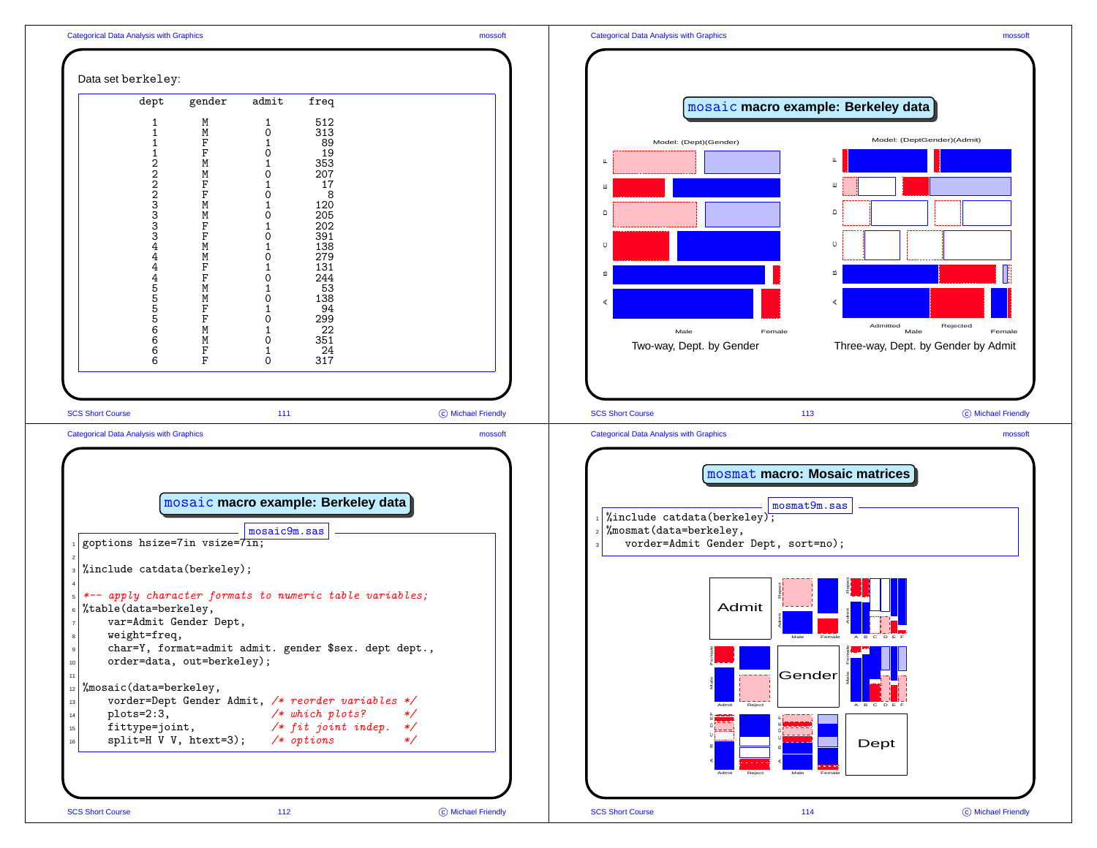

|                                                | dept                                                                                                                   | gender                                                                                                                                                                                      | admit                                                                                                                                    | freq                                                                                                                                                        |                    |
|------------------------------------------------|------------------------------------------------------------------------------------------------------------------------|---------------------------------------------------------------------------------------------------------------------------------------------------------------------------------------------|------------------------------------------------------------------------------------------------------------------------------------------|-------------------------------------------------------------------------------------------------------------------------------------------------------------|--------------------|
|                                                | 1<br>1<br>$\mathbf{1}$<br>$\mathbf 1$<br>22223334<br>$\frac{4}{4}$<br>4<br>5<br>5<br>5<br>5<br>6<br>6<br>$\frac{6}{6}$ | M<br>M<br>$\rm F$<br>$\rm F$<br>M<br>M<br>$\rm F$<br>F<br>M<br>M<br>$\rm F$<br>$\rm F$<br>M<br>M<br>$\rm F$<br>$\overline{F}$<br>M<br>M<br>F<br>$\mathbf F$<br>M<br>M<br>$\rm F$<br>$\rm F$ | 1<br>0<br>1<br>$\mathbf 0$<br>1<br>0<br>1<br>$\mathbf 0$<br>1<br>0<br>1<br>0<br>1<br>0<br>1<br>0<br>1<br>0<br>1<br>0<br>1<br>0<br>1<br>0 | 512<br>313<br>89<br>19<br>353<br>207<br>17<br>8<br>120<br>205<br>202<br>391<br>138<br>279<br>131<br>244<br>53<br>138<br>94<br>299<br>22<br>351<br>24<br>317 |                    |
| <b>SCS Short Course</b>                        |                                                                                                                        |                                                                                                                                                                                             | 111                                                                                                                                      |                                                                                                                                                             | C Michael Friendly |
| <b>Categorical Data Analysis with Graphics</b> |                                                                                                                        |                                                                                                                                                                                             |                                                                                                                                          |                                                                                                                                                             | mossoft            |



C Michael Friendly

SCS Short Course 112

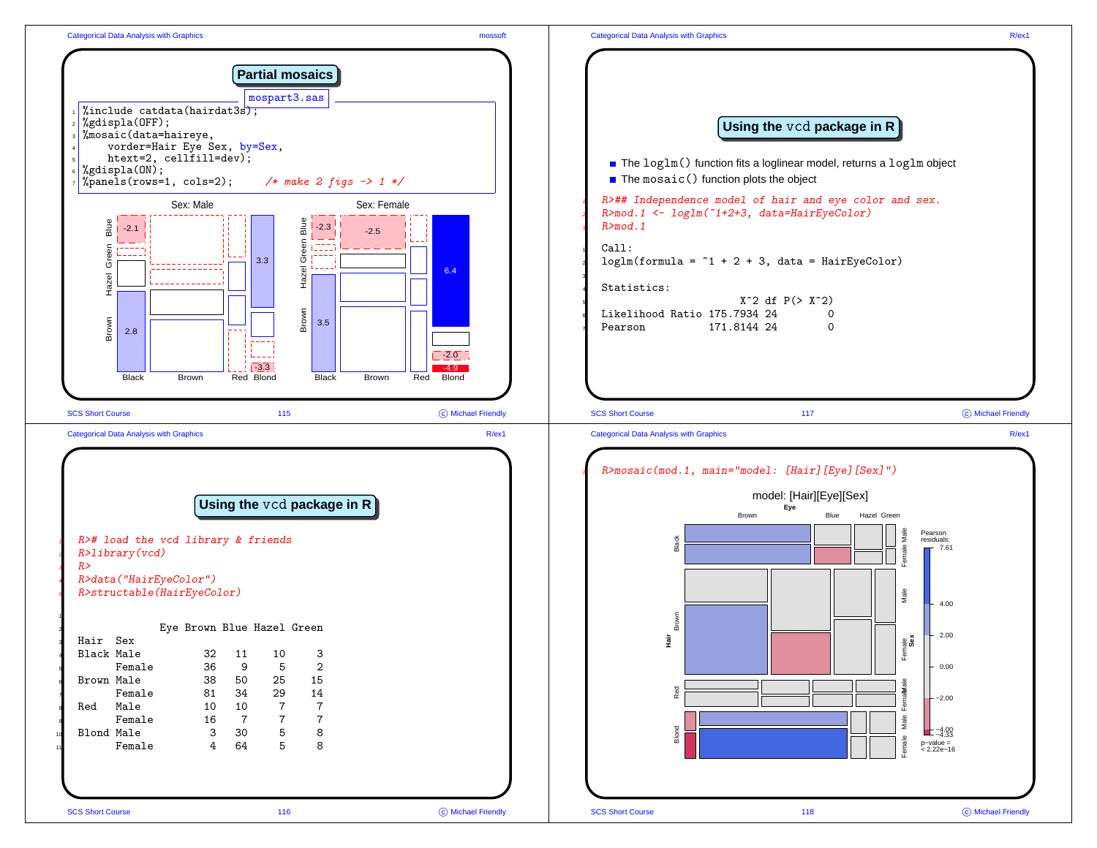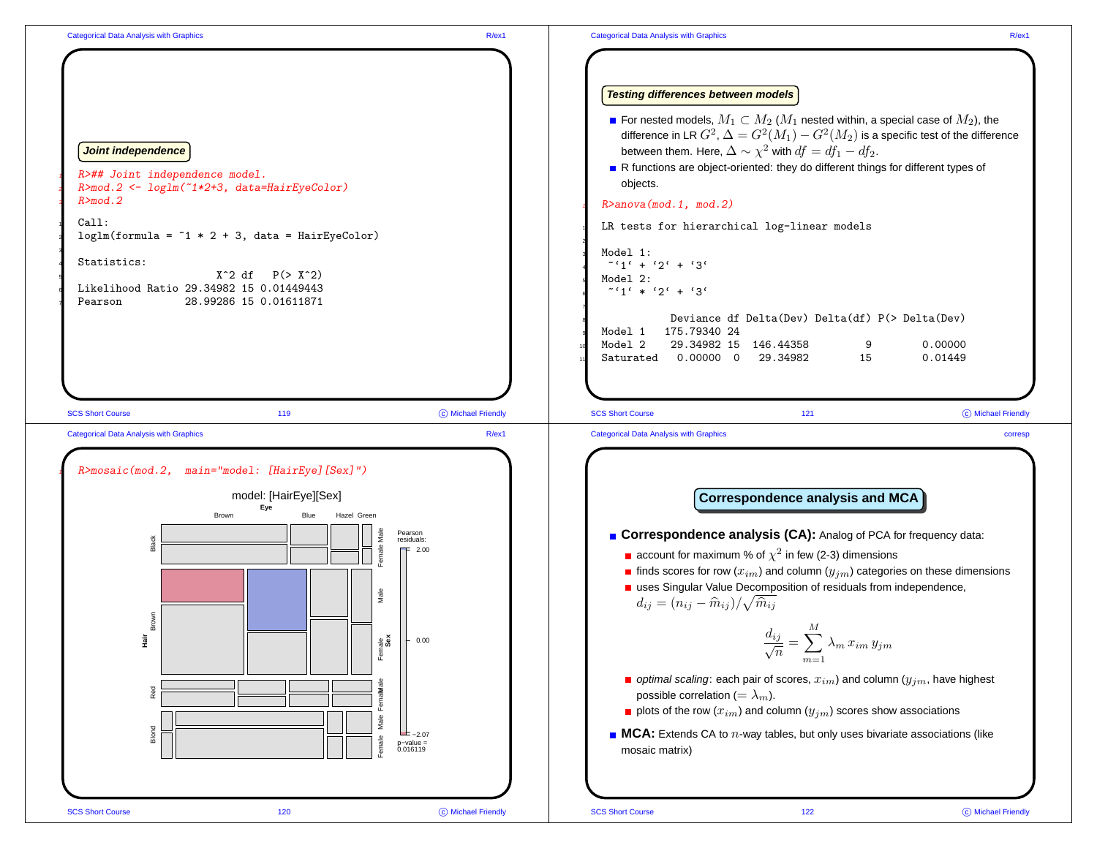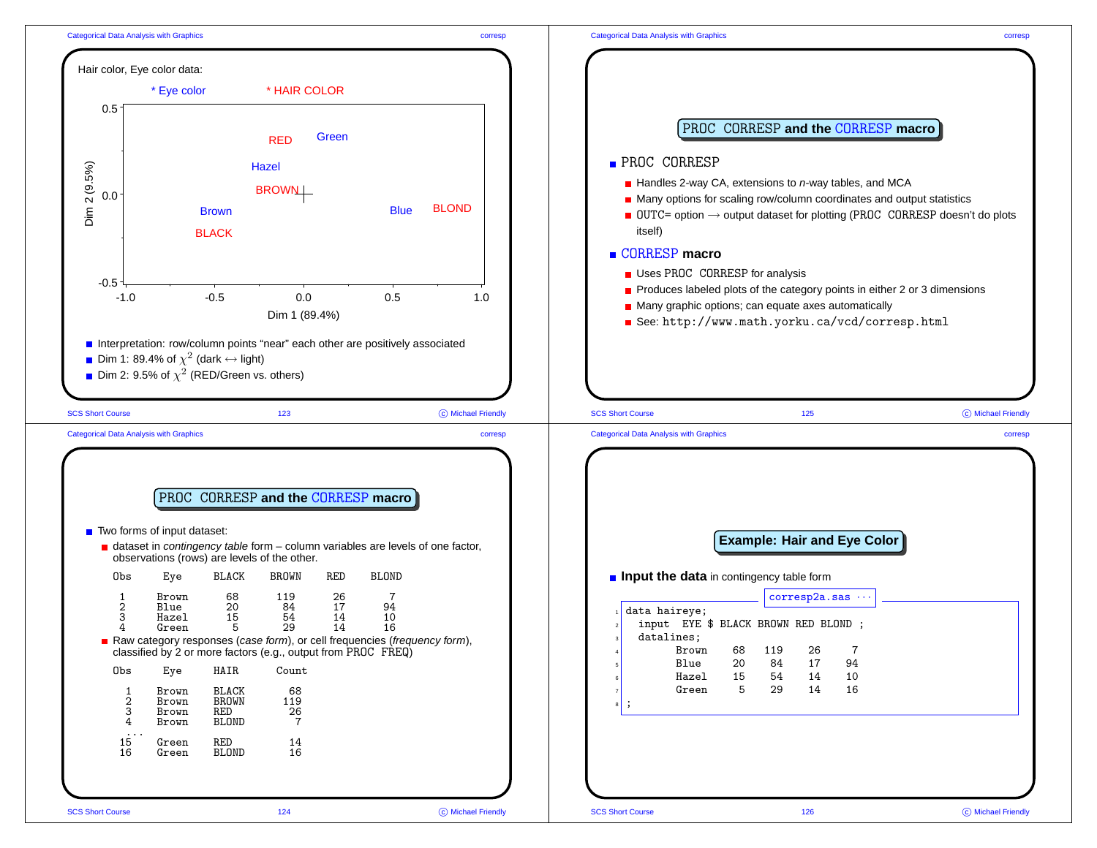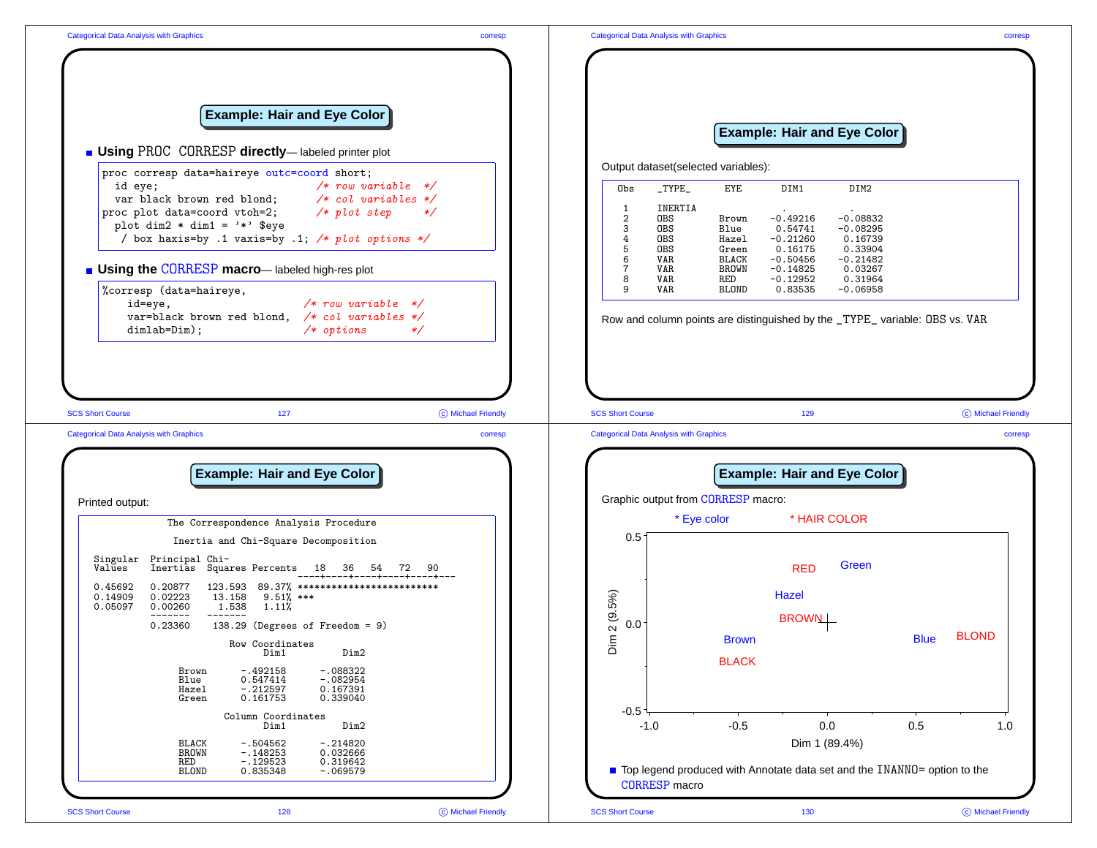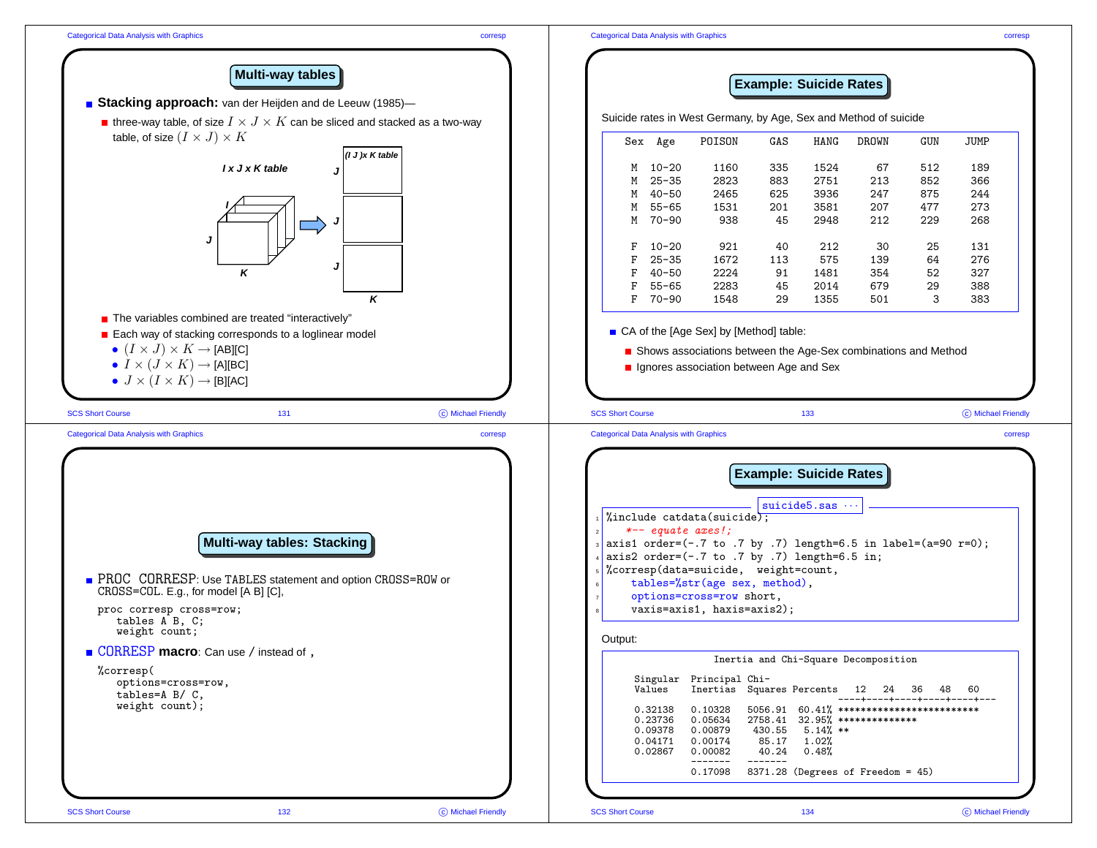

**Multi-way tables**

## **Example: Suicide Rates**

| <b>Bracking approach:</b> van der Heijden and de Leeuw (1985)-                                                                                                                                                                                                                                                          |                    |                         |                                                     |                                                                                                                                                                                                                                                                                                                                                                                               |                   |                                         |                                                                                                                                               |     |                    |
|-------------------------------------------------------------------------------------------------------------------------------------------------------------------------------------------------------------------------------------------------------------------------------------------------------------------------|--------------------|-------------------------|-----------------------------------------------------|-----------------------------------------------------------------------------------------------------------------------------------------------------------------------------------------------------------------------------------------------------------------------------------------------------------------------------------------------------------------------------------------------|-------------------|-----------------------------------------|-----------------------------------------------------------------------------------------------------------------------------------------------|-----|--------------------|
| <b>n</b> three-way table, of size $I \times J \times K$ can be sliced and stacked as a two-way                                                                                                                                                                                                                          |                    |                         |                                                     | Suicide rates in West Germany, by Age, Sex and Method of suicide                                                                                                                                                                                                                                                                                                                              |                   |                                         |                                                                                                                                               |     |                    |
| table, of size $(I \times J) \times K$                                                                                                                                                                                                                                                                                  |                    |                         | Sex Age                                             | POISON                                                                                                                                                                                                                                                                                                                                                                                        | GAS               | HANG                                    | <b>DROWN</b>                                                                                                                                  | GUN | <b>JUMP</b>        |
| (1 J)x K table<br>I x J x K table                                                                                                                                                                                                                                                                                       |                    | M                       | $10 - 20$                                           | 1160                                                                                                                                                                                                                                                                                                                                                                                          | 335               | 1524                                    | 67                                                                                                                                            | 512 | 189                |
|                                                                                                                                                                                                                                                                                                                         |                    | М                       | $25 - 35$                                           | 2823                                                                                                                                                                                                                                                                                                                                                                                          | 883               | 2751                                    | 213                                                                                                                                           | 852 | 366                |
|                                                                                                                                                                                                                                                                                                                         |                    | M                       | $40 - 50$                                           | 2465                                                                                                                                                                                                                                                                                                                                                                                          | 625               | 3936                                    | 247                                                                                                                                           | 875 | 244                |
|                                                                                                                                                                                                                                                                                                                         |                    | M                       | $55 - 65$                                           | 1531                                                                                                                                                                                                                                                                                                                                                                                          | 201               | 3581                                    | 207                                                                                                                                           | 477 | 273                |
|                                                                                                                                                                                                                                                                                                                         |                    |                         | $70 - 90$<br>M                                      | 938                                                                                                                                                                                                                                                                                                                                                                                           | 45                | 2948                                    | 212                                                                                                                                           | 229 | 268                |
|                                                                                                                                                                                                                                                                                                                         |                    |                         |                                                     |                                                                                                                                                                                                                                                                                                                                                                                               |                   |                                         |                                                                                                                                               |     |                    |
|                                                                                                                                                                                                                                                                                                                         |                    | F                       | $10 - 20$                                           | 921                                                                                                                                                                                                                                                                                                                                                                                           | 40                | 212                                     | 30                                                                                                                                            | 25  | 131                |
|                                                                                                                                                                                                                                                                                                                         |                    | F                       | $25 - 35$                                           | 1672                                                                                                                                                                                                                                                                                                                                                                                          | 113               | 575                                     | 139                                                                                                                                           | 64  | 276                |
| κ                                                                                                                                                                                                                                                                                                                       |                    | F                       | $40 - 50$                                           | 2224                                                                                                                                                                                                                                                                                                                                                                                          | 91                | 1481                                    | 354                                                                                                                                           | 52  | 327                |
|                                                                                                                                                                                                                                                                                                                         |                    | F                       | $55 - 65$                                           | 2283                                                                                                                                                                                                                                                                                                                                                                                          | 45                | 2014                                    | 679                                                                                                                                           | 29  | 388                |
| Κ                                                                                                                                                                                                                                                                                                                       |                    | F                       | 70-90                                               | 1548                                                                                                                                                                                                                                                                                                                                                                                          | 29                | 1355                                    | 501                                                                                                                                           | 3   | 383                |
| ■ The variables combined are treated "interactively"                                                                                                                                                                                                                                                                    |                    |                         |                                                     | ■ CA of the [Age Sex] by [Method] table:                                                                                                                                                                                                                                                                                                                                                      |                   |                                         |                                                                                                                                               |     |                    |
| ■ Each way of stacking corresponds to a loglinear model<br>• $(I \times J) \times K \rightarrow$ [AB][C]                                                                                                                                                                                                                |                    |                         |                                                     | Shows associations between the Age-Sex combinations and Method                                                                                                                                                                                                                                                                                                                                |                   |                                         |                                                                                                                                               |     |                    |
| • $I \times (J \times K) \rightarrow [A][BC]$                                                                                                                                                                                                                                                                           |                    |                         |                                                     | In Ignores association between Age and Sex                                                                                                                                                                                                                                                                                                                                                    |                   |                                         |                                                                                                                                               |     |                    |
| • $J \times (I \times K) \rightarrow [B][AC]$                                                                                                                                                                                                                                                                           |                    |                         |                                                     |                                                                                                                                                                                                                                                                                                                                                                                               |                   |                                         |                                                                                                                                               |     |                    |
|                                                                                                                                                                                                                                                                                                                         |                    |                         |                                                     |                                                                                                                                                                                                                                                                                                                                                                                               |                   |                                         |                                                                                                                                               |     |                    |
| <b>SCS Short Course</b><br>131                                                                                                                                                                                                                                                                                          | C Michael Friendly | <b>SCS Short Course</b> |                                                     |                                                                                                                                                                                                                                                                                                                                                                                               |                   | 133                                     |                                                                                                                                               |     | © Michael Friendly |
| <b>Categorical Data Analysis with Graphics</b>                                                                                                                                                                                                                                                                          | corresp            |                         | <b>Categorical Data Analysis with Graphics</b>      |                                                                                                                                                                                                                                                                                                                                                                                               |                   |                                         |                                                                                                                                               |     | corresp            |
| <b>Multi-way tables: Stacking</b><br>PROC CORRESP: Use TABLES statement and option CROSS=ROW or<br>CROSS=COL. E.g., for model [A B] [C],<br>proc corresp cross=row;<br>tables A B, C;<br>weight count;<br>■ CORRESP macro: Can use / instead of,<br>%corresp(<br>options=cross=row,<br>tables=A B/ C,<br>weight count); |                    | Output:                 | $*--$ equate axes!;<br>Values<br>0.32138<br>0.23736 | $\frac{1}{2}$ unclude catdata(suicide);<br>$_3$ axis1 order=(-.7 to .7 by .7) length=6.5 in label=(a=90 r=0);<br>axis2 order= $(-.7 \text{ to } .7 \text{ by } .7)$ length=6.5 in;<br>"corresp(data=suicide, weight=count,<br>tables=%str(age sex, method),<br>options=cross=row short,<br>vaxis=axis1, haxis=axis2);<br>Singular Principal Chi-<br>Inertias<br>0.10328<br>0.05634<br>0.00879 | 2758.41<br>430.55 | suicide $5.s$ as $\cdots$<br>$5.14%$ ** | Inertia and Chi-Square Decomposition<br>Squares Percents 12 24 36<br>$5056.91 60.41%$ ***************************<br>$32.95%$ *************** | 48  | 60                 |
|                                                                                                                                                                                                                                                                                                                         |                    |                         | 0.09378<br>0.04171<br>0.02867                       | 0.00174<br>0.00082                                                                                                                                                                                                                                                                                                                                                                            | 85.17<br>40.24    | 1.02%<br>0.48%                          |                                                                                                                                               |     |                    |
|                                                                                                                                                                                                                                                                                                                         |                    |                         |                                                     | 0.17098                                                                                                                                                                                                                                                                                                                                                                                       |                   |                                         | 8371.28 (Degrees of Freedom = 45)                                                                                                             |     |                    |